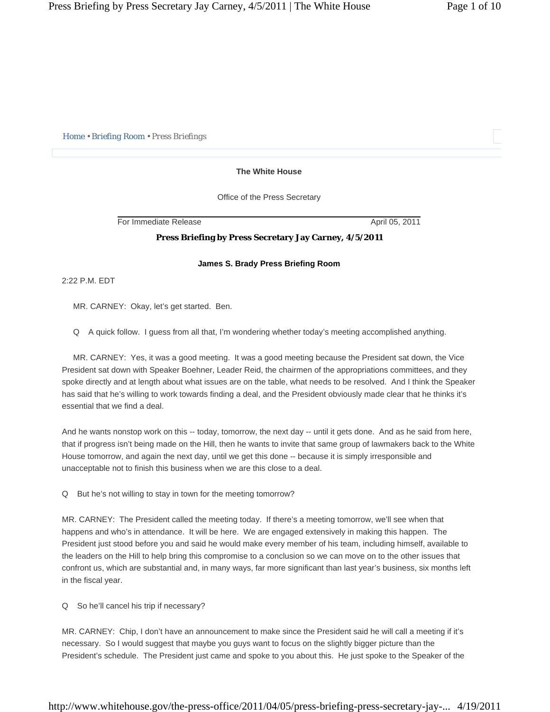*Home • Briefing Room • Press Briefings* 

# **The White House**

Office of the Press Secretary

For Immediate Release April 05, 2011

# **Press Briefing by Press Secretary Jay Carney, 4/5/2011**

# **James S. Brady Press Briefing Room**

2:22 P.M. EDT

MR. CARNEY: Okay, let's get started. Ben.

Q A quick follow. I guess from all that, I'm wondering whether today's meeting accomplished anything.

 MR. CARNEY: Yes, it was a good meeting. It was a good meeting because the President sat down, the Vice President sat down with Speaker Boehner, Leader Reid, the chairmen of the appropriations committees, and they spoke directly and at length about what issues are on the table, what needs to be resolved. And I think the Speaker has said that he's willing to work towards finding a deal, and the President obviously made clear that he thinks it's essential that we find a deal.

And he wants nonstop work on this -- today, tomorrow, the next day -- until it gets done. And as he said from here, that if progress isn't being made on the Hill, then he wants to invite that same group of lawmakers back to the White House tomorrow, and again the next day, until we get this done -- because it is simply irresponsible and unacceptable not to finish this business when we are this close to a deal.

Q But he's not willing to stay in town for the meeting tomorrow?

MR. CARNEY: The President called the meeting today. If there's a meeting tomorrow, we'll see when that happens and who's in attendance. It will be here. We are engaged extensively in making this happen. The President just stood before you and said he would make every member of his team, including himself, available to the leaders on the Hill to help bring this compromise to a conclusion so we can move on to the other issues that confront us, which are substantial and, in many ways, far more significant than last year's business, six months left in the fiscal year.

Q So he'll cancel his trip if necessary?

MR. CARNEY: Chip, I don't have an announcement to make since the President said he will call a meeting if it's necessary. So I would suggest that maybe you guys want to focus on the slightly bigger picture than the President's schedule. The President just came and spoke to you about this. He just spoke to the Speaker of the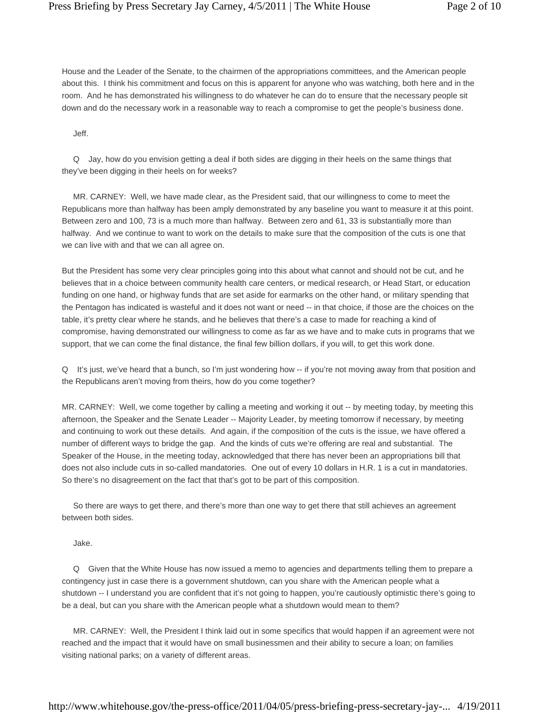House and the Leader of the Senate, to the chairmen of the appropriations committees, and the American people about this. I think his commitment and focus on this is apparent for anyone who was watching, both here and in the room. And he has demonstrated his willingness to do whatever he can do to ensure that the necessary people sit down and do the necessary work in a reasonable way to reach a compromise to get the people's business done.

Jeff.

 Q Jay, how do you envision getting a deal if both sides are digging in their heels on the same things that they've been digging in their heels on for weeks?

 MR. CARNEY: Well, we have made clear, as the President said, that our willingness to come to meet the Republicans more than halfway has been amply demonstrated by any baseline you want to measure it at this point. Between zero and 100, 73 is a much more than halfway. Between zero and 61, 33 is substantially more than halfway. And we continue to want to work on the details to make sure that the composition of the cuts is one that we can live with and that we can all agree on.

But the President has some very clear principles going into this about what cannot and should not be cut, and he believes that in a choice between community health care centers, or medical research, or Head Start, or education funding on one hand, or highway funds that are set aside for earmarks on the other hand, or military spending that the Pentagon has indicated is wasteful and it does not want or need -- in that choice, if those are the choices on the table, it's pretty clear where he stands, and he believes that there's a case to made for reaching a kind of compromise, having demonstrated our willingness to come as far as we have and to make cuts in programs that we support, that we can come the final distance, the final few billion dollars, if you will, to get this work done.

Q It's just, we've heard that a bunch, so I'm just wondering how -- if you're not moving away from that position and the Republicans aren't moving from theirs, how do you come together?

MR. CARNEY: Well, we come together by calling a meeting and working it out -- by meeting today, by meeting this afternoon, the Speaker and the Senate Leader -- Majority Leader, by meeting tomorrow if necessary, by meeting and continuing to work out these details. And again, if the composition of the cuts is the issue, we have offered a number of different ways to bridge the gap. And the kinds of cuts we're offering are real and substantial. The Speaker of the House, in the meeting today, acknowledged that there has never been an appropriations bill that does not also include cuts in so-called mandatories. One out of every 10 dollars in H.R. 1 is a cut in mandatories. So there's no disagreement on the fact that that's got to be part of this composition.

 So there are ways to get there, and there's more than one way to get there that still achieves an agreement between both sides.

Jake.

 Q Given that the White House has now issued a memo to agencies and departments telling them to prepare a contingency just in case there is a government shutdown, can you share with the American people what a shutdown -- I understand you are confident that it's not going to happen, you're cautiously optimistic there's going to be a deal, but can you share with the American people what a shutdown would mean to them?

 MR. CARNEY: Well, the President I think laid out in some specifics that would happen if an agreement were not reached and the impact that it would have on small businessmen and their ability to secure a loan; on families visiting national parks; on a variety of different areas.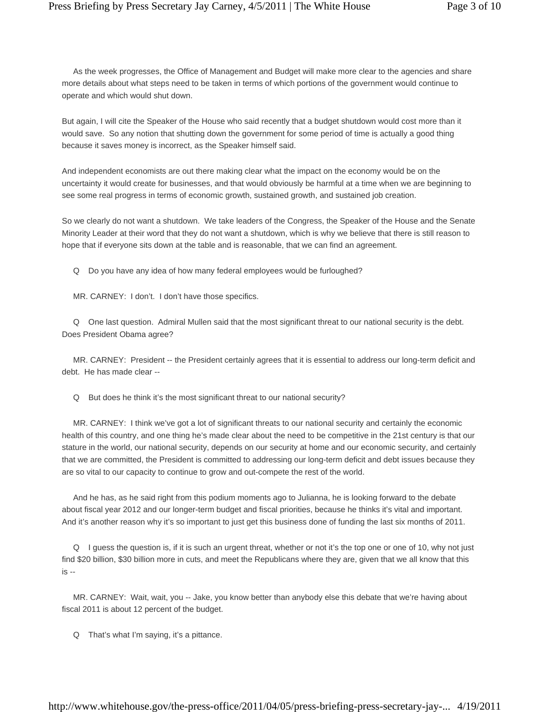As the week progresses, the Office of Management and Budget will make more clear to the agencies and share more details about what steps need to be taken in terms of which portions of the government would continue to operate and which would shut down.

But again, I will cite the Speaker of the House who said recently that a budget shutdown would cost more than it would save. So any notion that shutting down the government for some period of time is actually a good thing because it saves money is incorrect, as the Speaker himself said.

And independent economists are out there making clear what the impact on the economy would be on the uncertainty it would create for businesses, and that would obviously be harmful at a time when we are beginning to see some real progress in terms of economic growth, sustained growth, and sustained job creation.

So we clearly do not want a shutdown. We take leaders of the Congress, the Speaker of the House and the Senate Minority Leader at their word that they do not want a shutdown, which is why we believe that there is still reason to hope that if everyone sits down at the table and is reasonable, that we can find an agreement.

Q Do you have any idea of how many federal employees would be furloughed?

MR. CARNEY: I don't. I don't have those specifics.

 Q One last question. Admiral Mullen said that the most significant threat to our national security is the debt. Does President Obama agree?

 MR. CARNEY: President -- the President certainly agrees that it is essential to address our long-term deficit and debt. He has made clear --

Q But does he think it's the most significant threat to our national security?

 MR. CARNEY: I think we've got a lot of significant threats to our national security and certainly the economic health of this country, and one thing he's made clear about the need to be competitive in the 21st century is that our stature in the world, our national security, depends on our security at home and our economic security, and certainly that we are committed, the President is committed to addressing our long-term deficit and debt issues because they are so vital to our capacity to continue to grow and out-compete the rest of the world.

 And he has, as he said right from this podium moments ago to Julianna, he is looking forward to the debate about fiscal year 2012 and our longer-term budget and fiscal priorities, because he thinks it's vital and important. And it's another reason why it's so important to just get this business done of funding the last six months of 2011.

 Q I guess the question is, if it is such an urgent threat, whether or not it's the top one or one of 10, why not just find \$20 billion, \$30 billion more in cuts, and meet the Republicans where they are, given that we all know that this is --

 MR. CARNEY: Wait, wait, you -- Jake, you know better than anybody else this debate that we're having about fiscal 2011 is about 12 percent of the budget.

Q That's what I'm saying, it's a pittance.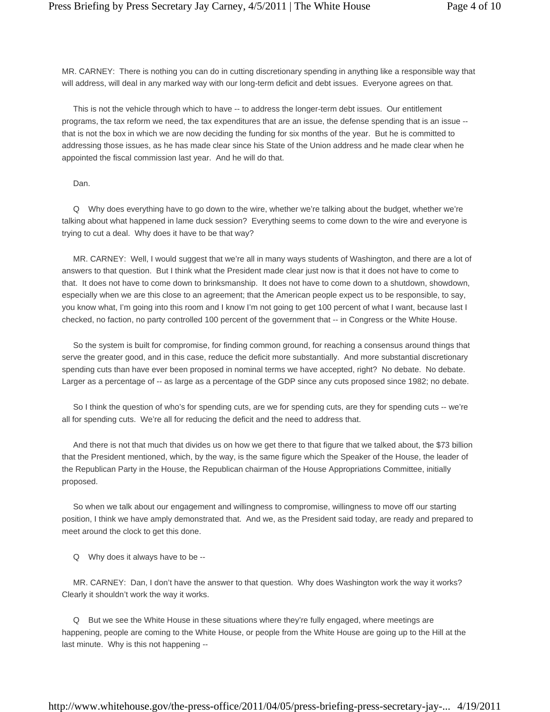MR. CARNEY: There is nothing you can do in cutting discretionary spending in anything like a responsible way that will address, will deal in any marked way with our long-term deficit and debt issues. Everyone agrees on that.

 This is not the vehicle through which to have -- to address the longer-term debt issues. Our entitlement programs, the tax reform we need, the tax expenditures that are an issue, the defense spending that is an issue - that is not the box in which we are now deciding the funding for six months of the year. But he is committed to addressing those issues, as he has made clear since his State of the Union address and he made clear when he appointed the fiscal commission last year. And he will do that.

Dan.

 Q Why does everything have to go down to the wire, whether we're talking about the budget, whether we're talking about what happened in lame duck session? Everything seems to come down to the wire and everyone is trying to cut a deal. Why does it have to be that way?

 MR. CARNEY: Well, I would suggest that we're all in many ways students of Washington, and there are a lot of answers to that question. But I think what the President made clear just now is that it does not have to come to that. It does not have to come down to brinksmanship. It does not have to come down to a shutdown, showdown, especially when we are this close to an agreement; that the American people expect us to be responsible, to say, you know what, I'm going into this room and I know I'm not going to get 100 percent of what I want, because last I checked, no faction, no party controlled 100 percent of the government that -- in Congress or the White House.

 So the system is built for compromise, for finding common ground, for reaching a consensus around things that serve the greater good, and in this case, reduce the deficit more substantially. And more substantial discretionary spending cuts than have ever been proposed in nominal terms we have accepted, right? No debate. No debate. Larger as a percentage of -- as large as a percentage of the GDP since any cuts proposed since 1982; no debate.

 So I think the question of who's for spending cuts, are we for spending cuts, are they for spending cuts -- we're all for spending cuts. We're all for reducing the deficit and the need to address that.

 And there is not that much that divides us on how we get there to that figure that we talked about, the \$73 billion that the President mentioned, which, by the way, is the same figure which the Speaker of the House, the leader of the Republican Party in the House, the Republican chairman of the House Appropriations Committee, initially proposed.

 So when we talk about our engagement and willingness to compromise, willingness to move off our starting position, I think we have amply demonstrated that. And we, as the President said today, are ready and prepared to meet around the clock to get this done.

Q Why does it always have to be --

 MR. CARNEY: Dan, I don't have the answer to that question. Why does Washington work the way it works? Clearly it shouldn't work the way it works.

 Q But we see the White House in these situations where they're fully engaged, where meetings are happening, people are coming to the White House, or people from the White House are going up to the Hill at the last minute. Why is this not happening --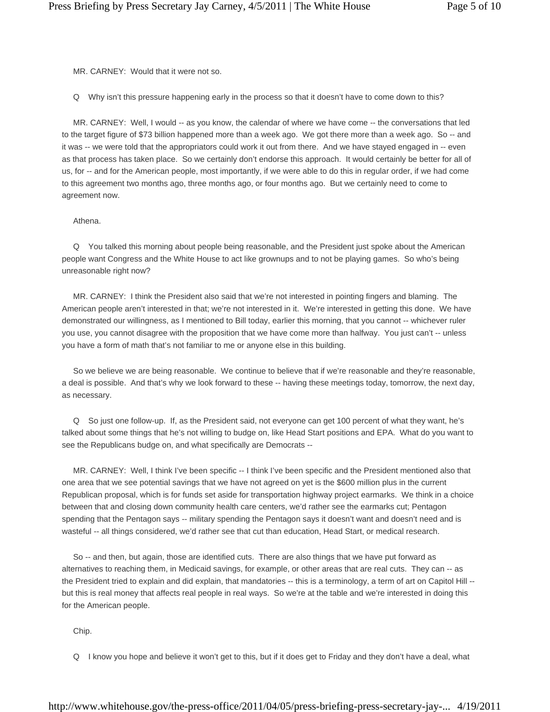MR. CARNEY: Would that it were not so.

Q Why isn't this pressure happening early in the process so that it doesn't have to come down to this?

 MR. CARNEY: Well, I would -- as you know, the calendar of where we have come -- the conversations that led to the target figure of \$73 billion happened more than a week ago. We got there more than a week ago. So -- and it was -- we were told that the appropriators could work it out from there. And we have stayed engaged in -- even as that process has taken place. So we certainly don't endorse this approach. It would certainly be better for all of us, for -- and for the American people, most importantly, if we were able to do this in regular order, if we had come to this agreement two months ago, three months ago, or four months ago. But we certainly need to come to agreement now.

## Athena.

 Q You talked this morning about people being reasonable, and the President just spoke about the American people want Congress and the White House to act like grownups and to not be playing games. So who's being unreasonable right now?

 MR. CARNEY: I think the President also said that we're not interested in pointing fingers and blaming. The American people aren't interested in that; we're not interested in it. We're interested in getting this done. We have demonstrated our willingness, as I mentioned to Bill today, earlier this morning, that you cannot -- whichever ruler you use, you cannot disagree with the proposition that we have come more than halfway. You just can't -- unless you have a form of math that's not familiar to me or anyone else in this building.

 So we believe we are being reasonable. We continue to believe that if we're reasonable and they're reasonable, a deal is possible. And that's why we look forward to these -- having these meetings today, tomorrow, the next day, as necessary.

 Q So just one follow-up. If, as the President said, not everyone can get 100 percent of what they want, he's talked about some things that he's not willing to budge on, like Head Start positions and EPA. What do you want to see the Republicans budge on, and what specifically are Democrats --

MR. CARNEY: Well, I think I've been specific -- I think I've been specific and the President mentioned also that one area that we see potential savings that we have not agreed on yet is the \$600 million plus in the current Republican proposal, which is for funds set aside for transportation highway project earmarks. We think in a choice between that and closing down community health care centers, we'd rather see the earmarks cut; Pentagon spending that the Pentagon says -- military spending the Pentagon says it doesn't want and doesn't need and is wasteful -- all things considered, we'd rather see that cut than education, Head Start, or medical research.

 So -- and then, but again, those are identified cuts. There are also things that we have put forward as alternatives to reaching them, in Medicaid savings, for example, or other areas that are real cuts. They can -- as the President tried to explain and did explain, that mandatories -- this is a terminology, a term of art on Capitol Hill - but this is real money that affects real people in real ways. So we're at the table and we're interested in doing this for the American people.

Chip.

Q I know you hope and believe it won't get to this, but if it does get to Friday and they don't have a deal, what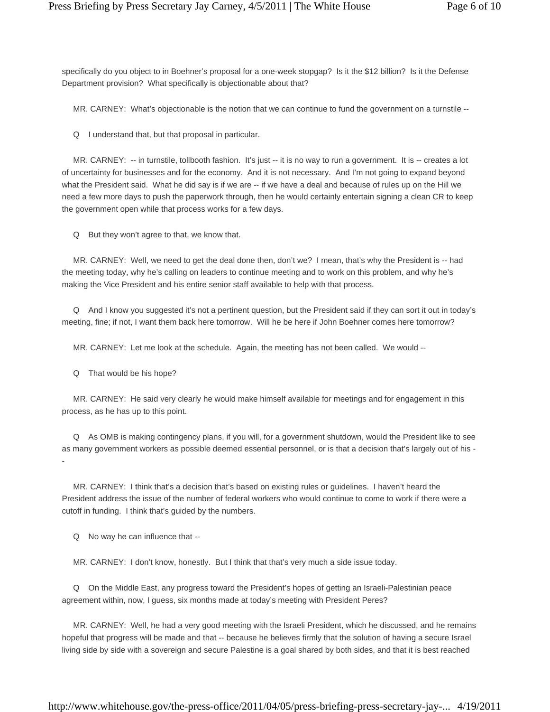specifically do you object to in Boehner's proposal for a one-week stopgap? Is it the \$12 billion? Is it the Defense Department provision? What specifically is objectionable about that?

MR. CARNEY: What's objectionable is the notion that we can continue to fund the government on a turnstile --

Q I understand that, but that proposal in particular.

 MR. CARNEY: -- in turnstile, tollbooth fashion. It's just -- it is no way to run a government. It is -- creates a lot of uncertainty for businesses and for the economy. And it is not necessary. And I'm not going to expand beyond what the President said. What he did say is if we are -- if we have a deal and because of rules up on the Hill we need a few more days to push the paperwork through, then he would certainly entertain signing a clean CR to keep the government open while that process works for a few days.

Q But they won't agree to that, we know that.

 MR. CARNEY: Well, we need to get the deal done then, don't we? I mean, that's why the President is -- had the meeting today, why he's calling on leaders to continue meeting and to work on this problem, and why he's making the Vice President and his entire senior staff available to help with that process.

 Q And I know you suggested it's not a pertinent question, but the President said if they can sort it out in today's meeting, fine; if not, I want them back here tomorrow. Will he be here if John Boehner comes here tomorrow?

MR. CARNEY: Let me look at the schedule. Again, the meeting has not been called. We would --

Q That would be his hope?

 MR. CARNEY: He said very clearly he would make himself available for meetings and for engagement in this process, as he has up to this point.

 Q As OMB is making contingency plans, if you will, for a government shutdown, would the President like to see as many government workers as possible deemed essential personnel, or is that a decision that's largely out of his - -

 MR. CARNEY: I think that's a decision that's based on existing rules or guidelines. I haven't heard the President address the issue of the number of federal workers who would continue to come to work if there were a cutoff in funding. I think that's guided by the numbers.

Q No way he can influence that --

MR. CARNEY: I don't know, honestly. But I think that that's very much a side issue today.

 Q On the Middle East, any progress toward the President's hopes of getting an Israeli-Palestinian peace agreement within, now, I guess, six months made at today's meeting with President Peres?

 MR. CARNEY: Well, he had a very good meeting with the Israeli President, which he discussed, and he remains hopeful that progress will be made and that -- because he believes firmly that the solution of having a secure Israel living side by side with a sovereign and secure Palestine is a goal shared by both sides, and that it is best reached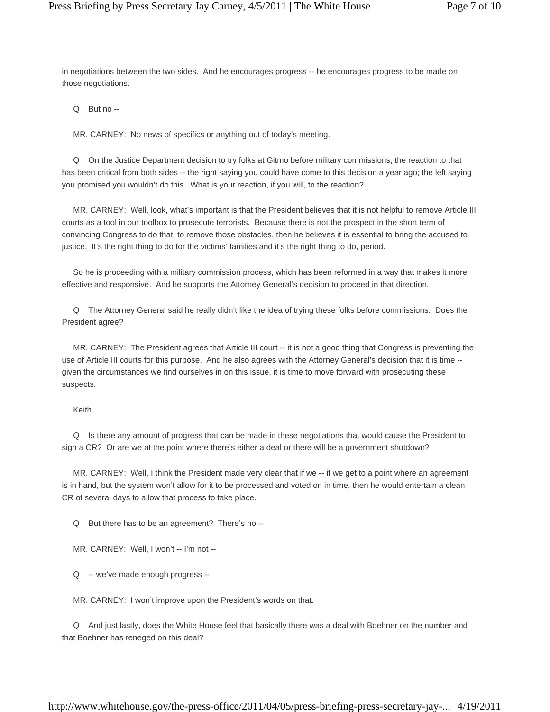in negotiations between the two sides. And he encourages progress -- he encourages progress to be made on those negotiations.

Q But no --

MR. CARNEY: No news of specifics or anything out of today's meeting.

 Q On the Justice Department decision to try folks at Gitmo before military commissions, the reaction to that has been critical from both sides -- the right saying you could have come to this decision a year ago; the left saying you promised you wouldn't do this. What is your reaction, if you will, to the reaction?

 MR. CARNEY: Well, look, what's important is that the President believes that it is not helpful to remove Article III courts as a tool in our toolbox to prosecute terrorists. Because there is not the prospect in the short term of convincing Congress to do that, to remove those obstacles, then he believes it is essential to bring the accused to justice. It's the right thing to do for the victims' families and it's the right thing to do, period.

 So he is proceeding with a military commission process, which has been reformed in a way that makes it more effective and responsive. And he supports the Attorney General's decision to proceed in that direction.

 Q The Attorney General said he really didn't like the idea of trying these folks before commissions. Does the President agree?

 MR. CARNEY: The President agrees that Article III court -- it is not a good thing that Congress is preventing the use of Article III courts for this purpose. And he also agrees with the Attorney General's decision that it is time -given the circumstances we find ourselves in on this issue, it is time to move forward with prosecuting these suspects.

#### Keith.

 Q Is there any amount of progress that can be made in these negotiations that would cause the President to sign a CR? Or are we at the point where there's either a deal or there will be a government shutdown?

MR. CARNEY: Well, I think the President made very clear that if we -- if we get to a point where an agreement is in hand, but the system won't allow for it to be processed and voted on in time, then he would entertain a clean CR of several days to allow that process to take place.

Q But there has to be an agreement? There's no --

- MR. CARNEY: Well, I won't -- I'm not --
- Q -- we've made enough progress --

MR. CARNEY: I won't improve upon the President's words on that.

 Q And just lastly, does the White House feel that basically there was a deal with Boehner on the number and that Boehner has reneged on this deal?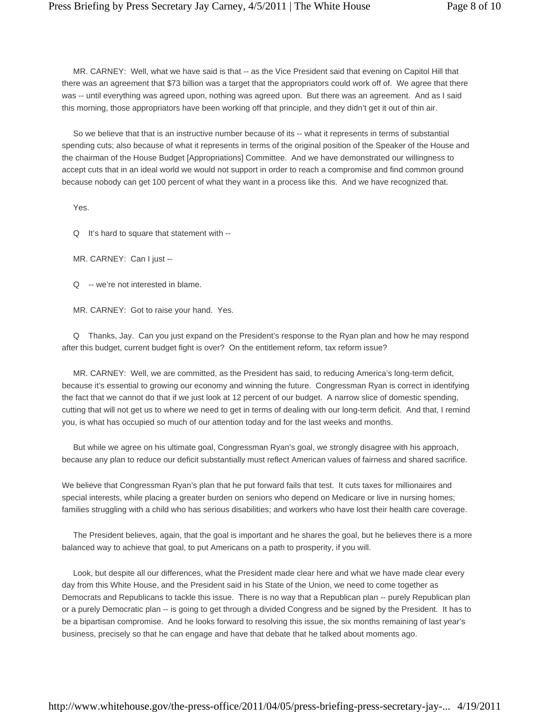MR. CARNEY: Well, what we have said is that -- as the Vice President said that evening on Capitol Hill that there was an agreement that \$73 billion was a target that the appropriators could work off of. We agree that there was -- until everything was agreed upon, nothing was agreed upon. But there was an agreement. And as I said this morning, those appropriators have been working off that principle, and they didn't get it out of thin air.

 So we believe that that is an instructive number because of its -- what it represents in terms of substantial spending cuts; also because of what it represents in terms of the original position of the Speaker of the House and the chairman of the House Budget [Appropriations] Committee. And we have demonstrated our willingness to accept cuts that in an ideal world we would not support in order to reach a compromise and find common ground because nobody can get 100 percent of what they want in a process like this. And we have recognized that.

Yes.

Q It's hard to square that statement with --

MR. CARNEY: Can I just --

Q -- we're not interested in blame.

MR. CARNEY: Got to raise your hand. Yes.

 Q Thanks, Jay. Can you just expand on the President's response to the Ryan plan and how he may respond after this budget, current budget fight is over? On the entitlement reform, tax reform issue?

 MR. CARNEY: Well, we are committed, as the President has said, to reducing America's long-term deficit, because it's essential to growing our economy and winning the future. Congressman Ryan is correct in identifying the fact that we cannot do that if we just look at 12 percent of our budget. A narrow slice of domestic spending, cutting that will not get us to where we need to get in terms of dealing with our long-term deficit. And that, I remind you, is what has occupied so much of our attention today and for the last weeks and months.

 But while we agree on his ultimate goal, Congressman Ryan's goal, we strongly disagree with his approach, because any plan to reduce our deficit substantially must reflect American values of fairness and shared sacrifice.

We believe that Congressman Ryan's plan that he put forward fails that test. It cuts taxes for millionaires and special interests, while placing a greater burden on seniors who depend on Medicare or live in nursing homes; families struggling with a child who has serious disabilities; and workers who have lost their health care coverage.

 The President believes, again, that the goal is important and he shares the goal, but he believes there is a more balanced way to achieve that goal, to put Americans on a path to prosperity, if you will.

 Look, but despite all our differences, what the President made clear here and what we have made clear every day from this White House, and the President said in his State of the Union, we need to come together as Democrats and Republicans to tackle this issue. There is no way that a Republican plan -- purely Republican plan or a purely Democratic plan -- is going to get through a divided Congress and be signed by the President. It has to be a bipartisan compromise. And he looks forward to resolving this issue, the six months remaining of last year's business, precisely so that he can engage and have that debate that he talked about moments ago.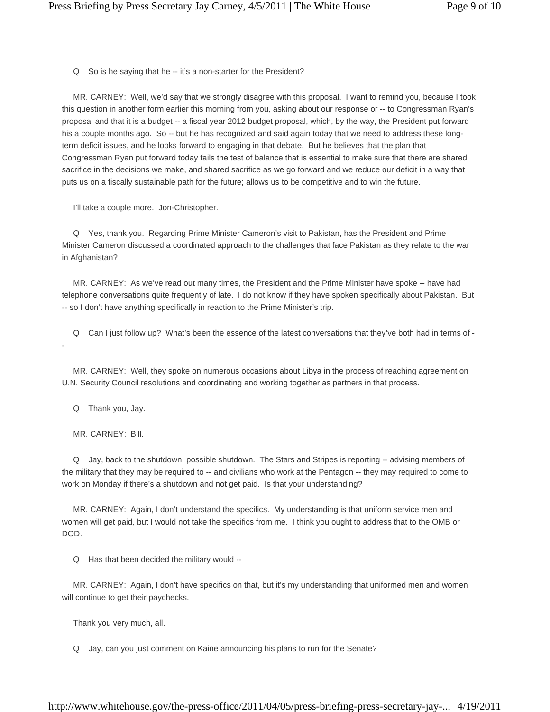Q So is he saying that he -- it's a non-starter for the President?

 MR. CARNEY: Well, we'd say that we strongly disagree with this proposal. I want to remind you, because I took this question in another form earlier this morning from you, asking about our response or -- to Congressman Ryan's proposal and that it is a budget -- a fiscal year 2012 budget proposal, which, by the way, the President put forward his a couple months ago. So -- but he has recognized and said again today that we need to address these longterm deficit issues, and he looks forward to engaging in that debate. But he believes that the plan that Congressman Ryan put forward today fails the test of balance that is essential to make sure that there are shared sacrifice in the decisions we make, and shared sacrifice as we go forward and we reduce our deficit in a way that puts us on a fiscally sustainable path for the future; allows us to be competitive and to win the future.

I'll take a couple more. Jon-Christopher.

 Q Yes, thank you. Regarding Prime Minister Cameron's visit to Pakistan, has the President and Prime Minister Cameron discussed a coordinated approach to the challenges that face Pakistan as they relate to the war in Afghanistan?

 MR. CARNEY: As we've read out many times, the President and the Prime Minister have spoke -- have had telephone conversations quite frequently of late. I do not know if they have spoken specifically about Pakistan. But -- so I don't have anything specifically in reaction to the Prime Minister's trip.

Q Can I just follow up? What's been the essence of the latest conversations that they've both had in terms of -

 MR. CARNEY: Well, they spoke on numerous occasions about Libya in the process of reaching agreement on U.N. Security Council resolutions and coordinating and working together as partners in that process.

Q Thank you, Jay.

-

MR. CARNEY: Bill.

 Q Jay, back to the shutdown, possible shutdown. The Stars and Stripes is reporting -- advising members of the military that they may be required to -- and civilians who work at the Pentagon -- they may required to come to work on Monday if there's a shutdown and not get paid. Is that your understanding?

 MR. CARNEY: Again, I don't understand the specifics. My understanding is that uniform service men and women will get paid, but I would not take the specifics from me. I think you ought to address that to the OMB or DOD.

Q Has that been decided the military would --

 MR. CARNEY: Again, I don't have specifics on that, but it's my understanding that uniformed men and women will continue to get their paychecks.

Thank you very much, all.

Q Jay, can you just comment on Kaine announcing his plans to run for the Senate?